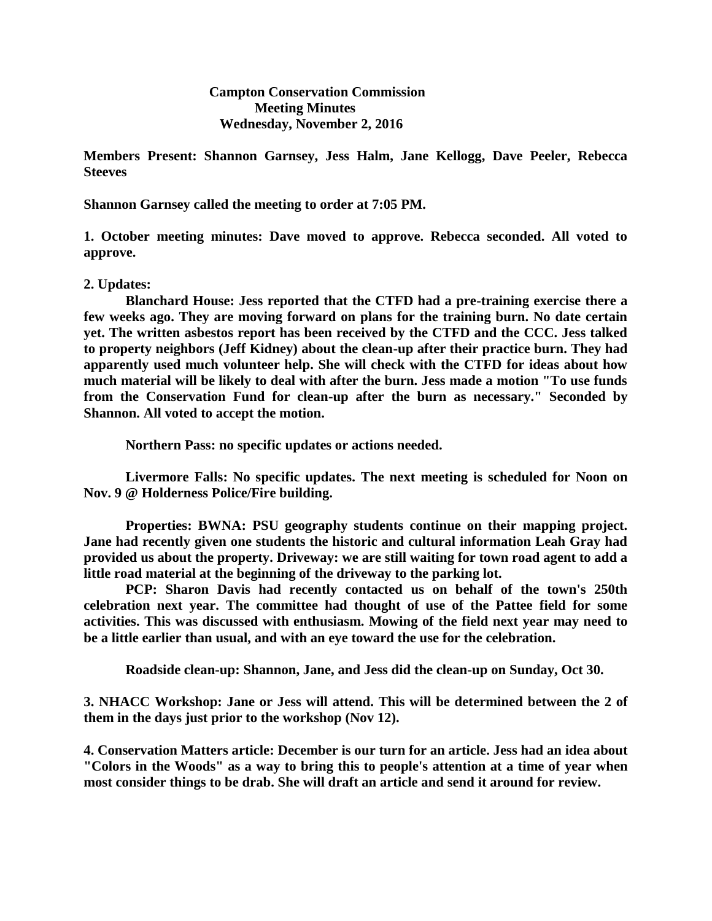**Campton Conservation Commission Meeting Minutes Wednesday, November 2, 2016**

**Members Present: Shannon Garnsey, Jess Halm, Jane Kellogg, Dave Peeler, Rebecca Steeves**

**Shannon Garnsey called the meeting to order at 7:05 PM.**

**1. October meeting minutes: Dave moved to approve. Rebecca seconded. All voted to approve.**

## **2. Updates:**

**Blanchard House: Jess reported that the CTFD had a pre-training exercise there a few weeks ago. They are moving forward on plans for the training burn. No date certain yet. The written asbestos report has been received by the CTFD and the CCC. Jess talked to property neighbors (Jeff Kidney) about the clean-up after their practice burn. They had apparently used much volunteer help. She will check with the CTFD for ideas about how much material will be likely to deal with after the burn. Jess made a motion "To use funds from the Conservation Fund for clean-up after the burn as necessary." Seconded by Shannon. All voted to accept the motion.**

**Northern Pass: no specific updates or actions needed.**

**Livermore Falls: No specific updates. The next meeting is scheduled for Noon on Nov. 9 @ Holderness Police/Fire building.**

**Properties: BWNA: PSU geography students continue on their mapping project. Jane had recently given one students the historic and cultural information Leah Gray had provided us about the property. Driveway: we are still waiting for town road agent to add a little road material at the beginning of the driveway to the parking lot.**

**PCP: Sharon Davis had recently contacted us on behalf of the town's 250th celebration next year. The committee had thought of use of the Pattee field for some activities. This was discussed with enthusiasm. Mowing of the field next year may need to be a little earlier than usual, and with an eye toward the use for the celebration.**

**Roadside clean-up: Shannon, Jane, and Jess did the clean-up on Sunday, Oct 30.** 

**3. NHACC Workshop: Jane or Jess will attend. This will be determined between the 2 of them in the days just prior to the workshop (Nov 12).**

**4. Conservation Matters article: December is our turn for an article. Jess had an idea about "Colors in the Woods" as a way to bring this to people's attention at a time of year when most consider things to be drab. She will draft an article and send it around for review.**